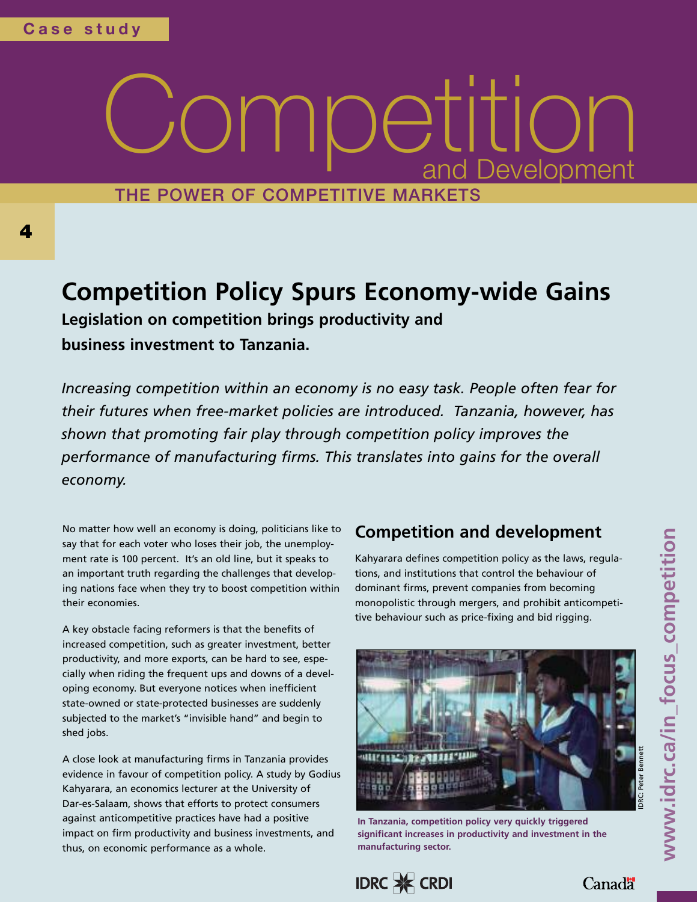#### **THE POWER OF COMPETITIVE MARKETS** Compet a nd i  $\overline{D}$  $\frac{1}{\sqrt{2}}$ eve  $\frac{1}{\sqrt{2}}$  $\bigcirc$ **lopment**  $\prod_{n \in \mathbb{N}^+}$

# **Competition Policy Spurs Economy-wide Gains**

**Legislation on competition brings productivity and business investment to Tanzania.**

*Increasing competition within an economy is no easy task. People often fear for their futures when free-market policies are introduced. Tanzania, however, has shown that promoting fair play through competition policy improves the performance of manufacturing firms. This translates into gains for the overall economy.*

No matter how well an economy is doing, politicians like to say that for each voter who loses their job, the unemployment rate is 100 percent. It's an old line, but it speaks to an important truth regarding the challenges that developing nations face when they try to boost competition within their economies.

A key obstacle facing reformers is that the benefits of increased competition, such as greater investment, better productivity, and more exports, can be hard to see, especially when riding the frequent ups and downs of a developing economy. But everyone notices when inefficient state-owned or state-protected businesses are suddenly subjected to the market's "invisible hand" and begin to shed jobs.

A close look at manufacturing firms in Tanzania provides evidence in favour of competition policy. A study by Godius Kahyarara, an economics lecturer at the University of Dar-es-Salaam, shows that efforts to protect consumers against anticompetitive practices have had a positive impact on firm productivity and business investments, and thus, on economic performance as a whole.

#### **Competition and development**

Kahyarara defines competition policy as the laws, regulations, and institutions that control the behaviour of dominant firms, prevent companies from becoming monopolistic through mergers, and prohibit anticompetitive behaviour such as price-fixing and bid rigging.



**In Tanzania, competition policy very quickly triggered significant increases in productivity and investment in the manufacturing sector.**

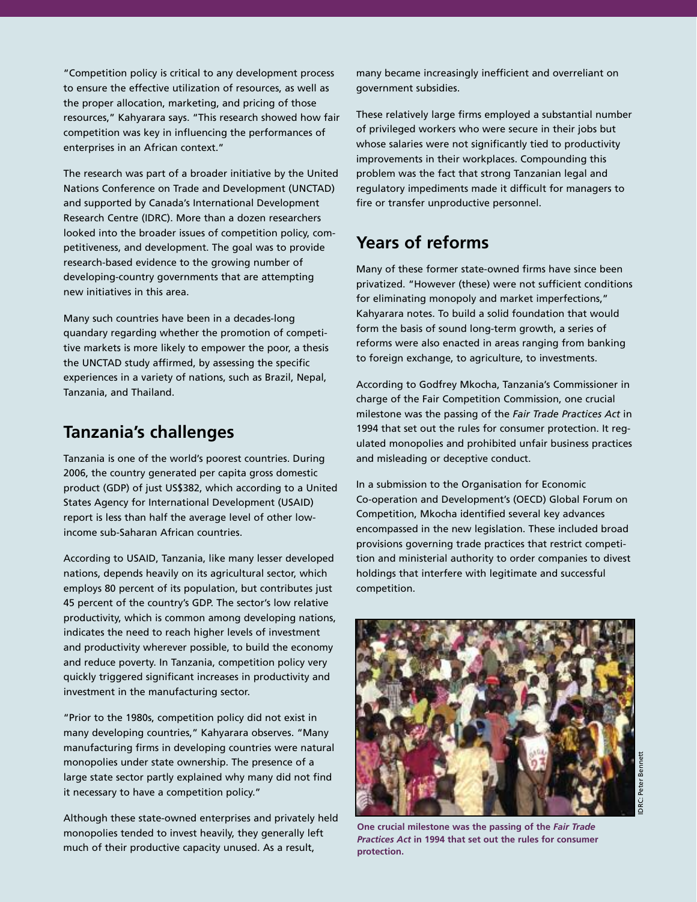"Competition policy is critical to any development process to ensure the effective utilization of resources, as well as the proper allocation, marketing, and pricing of those resources," Kahyarara says. "This research showed how fair competition was key in influencing the performances of enterprises in an African context."

The research was part of a broader initiative by the United Nations Conference on Trade and Development (UNCTAD) and supported by Canada's International Development Research Centre (IDRC). More than a dozen researchers looked into the broader issues of competition policy, competitiveness, and development. The goal was to provide research-based evidence to the growing number of developing-country governments that are attempting new initiatives in this area.

Many such countries have been in a decades-long quandary regarding whether the promotion of competitive markets is more likely to empower the poor, a thesis the UNCTAD study affirmed, by assessing the specific experiences in a variety of nations, such as Brazil, Nepal, Tanzania, and Thailand.

#### **Tanzania's challenges**

Tanzania is one of the world's poorest countries. During 2006, the country generated per capita gross domestic product (GDP) of just US\$382, which according to a United States Agency for International Development (USAID) report is less than half the average level of other lowincome sub-Saharan African countries.

According to USAID, Tanzania, like many lesser developed nations, depends heavily on its agricultural sector, which employs 80 percent of its population, but contributes just 45 percent of the country's GDP. The sector's low relative productivity, which is common among developing nations, indicates the need to reach higher levels of investment and productivity wherever possible, to build the economy and reduce poverty. In Tanzania, competition policy very quickly triggered significant increases in productivity and investment in the manufacturing sector.

"Prior to the 1980s, competition policy did not exist in many developing countries," Kahyarara observes. "Many manufacturing firms in developing countries were natural monopolies under state ownership. The presence of a large state sector partly explained why many did not find it necessary to have a competition policy."

Although these state-owned enterprises and privately held monopolies tended to invest heavily, they generally left much of their productive capacity unused. As a result,

many became increasingly inefficient and overreliant on government subsidies.

These relatively large firms employed a substantial number of privileged workers who were secure in their jobs but whose salaries were not significantly tied to productivity improvements in their workplaces. Compounding this problem was the fact that strong Tanzanian legal and regulatory impediments made it difficult for managers to fire or transfer unproductive personnel.

### **Years of reforms**

Many of these former state-owned firms have since been privatized. "However (these) were not sufficient conditions for eliminating monopoly and market imperfections," Kahyarara notes. To build a solid foundation that would form the basis of sound long-term growth, a series of reforms were also enacted in areas ranging from banking to foreign exchange, to agriculture, to investments.

According to Godfrey Mkocha, Tanzania's Commissioner in charge of the Fair Competition Commission, one crucial milestone was the passing of the *Fair Trade Practices Act* in 1994 that set out the rules for consumer protection. It regulated monopolies and prohibited unfair business practices and misleading or deceptive conduct.

In a submission to the Organisation for Economic Co-operation and Development's (OECD) Global Forum on Competition, Mkocha identified several key advances encompassed in the new legislation. These included broad provisions governing trade practices that restrict competition and ministerial authority to order companies to divest holdings that interfere with legitimate and successful competition.



**One crucial milestone was the passing of the** *Fair Trade Practices Act* **in 1994 that set out the rules for consumer protection.**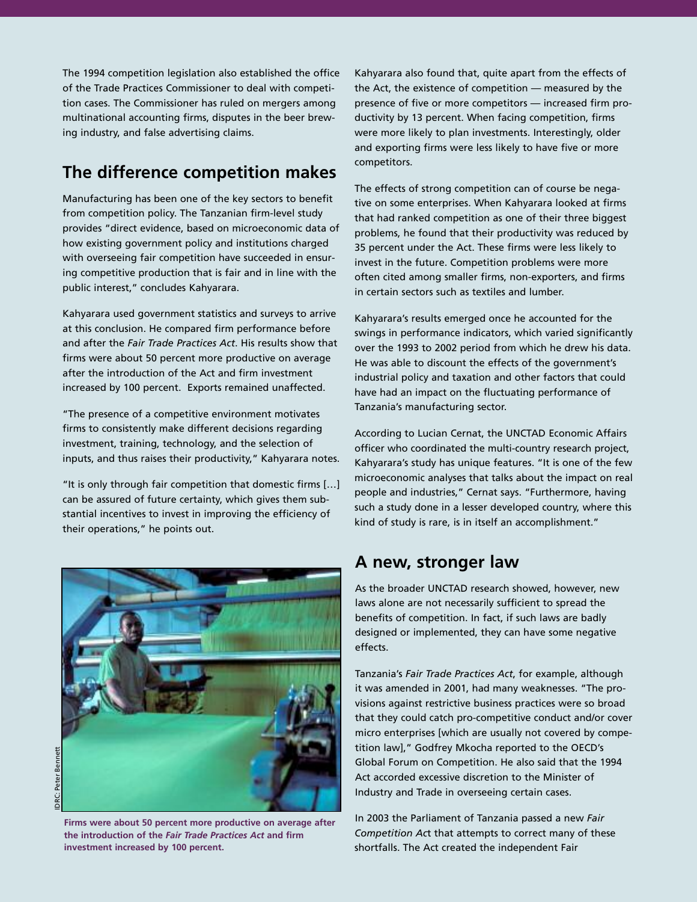The 1994 competition legislation also established the office of the Trade Practices Commissioner to deal with competition cases. The Commissioner has ruled on mergers among multinational accounting firms, disputes in the beer brewing industry, and false advertising claims.

#### **The difference competition makes**

Manufacturing has been one of the key sectors to benefit from competition policy. The Tanzanian firm-level study provides "direct evidence, based on microeconomic data of how existing government policy and institutions charged with overseeing fair competition have succeeded in ensuring competitive production that is fair and in line with the public interest," concludes Kahyarara.

Kahyarara used government statistics and surveys to arrive at this conclusion. He compared firm performance before and after the *Fair Trade Practices Act*. His results show that firms were about 50 percent more productive on average after the introduction of the Act and firm investment increased by 100 percent. Exports remained unaffected.

"The presence of a competitive environment motivates firms to consistently make different decisions regarding investment, training, technology, and the selection of inputs, and thus raises their productivity," Kahyarara notes.

"It is only through fair competition that domestic firms […] can be assured of future certainty, which gives them substantial incentives to invest in improving the efficiency of their operations," he points out.



**Firms were about 50 percent more productive on average after the introduction of the** *Fair Trade Practices Act* **and firm investment increased by 100 percent.**

Kahyarara also found that, quite apart from the effects of the Act, the existence of competition — measured by the presence of five or more competitors — increased firm productivity by 13 percent. When facing competition, firms were more likely to plan investments. Interestingly, older and exporting firms were less likely to have five or more competitors.

The effects of strong competition can of course be negative on some enterprises. When Kahyarara looked at firms that had ranked competition as one of their three biggest problems, he found that their productivity was reduced by 35 percent under the Act. These firms were less likely to invest in the future. Competition problems were more often cited among smaller firms, non-exporters, and firms in certain sectors such as textiles and lumber.

Kahyarara's results emerged once he accounted for the swings in performance indicators, which varied significantly over the 1993 to 2002 period from which he drew his data. He was able to discount the effects of the government's industrial policy and taxation and other factors that could have had an impact on the fluctuating performance of Tanzania's manufacturing sector.

According to Lucian Cernat, the UNCTAD Economic Affairs officer who coordinated the multi-country research project, Kahyarara's study has unique features. "It is one of the few microeconomic analyses that talks about the impact on real people and industries," Cernat says. "Furthermore, having such a study done in a lesser developed country, where this kind of study is rare, is in itself an accomplishment."

#### **A new, stronger law**

As the broader UNCTAD research showed, however, new laws alone are not necessarily sufficient to spread the benefits of competition. In fact, if such laws are badly designed or implemented, they can have some negative effects.

Tanzania's *Fair Trade Practices Act*, for example, although it was amended in 2001, had many weaknesses. "The provisions against restrictive business practices were so broad that they could catch pro-competitive conduct and/or cover micro enterprises [which are usually not covered by competition law]," Godfrey Mkocha reported to the OECD's Global Forum on Competition. He also said that the 1994 Act accorded excessive discretion to the Minister of Industry and Trade in overseeing certain cases.

In 2003 the Parliament of Tanzania passed a new *Fair Competition Ac*t that attempts to correct many of these shortfalls. The Act created the independent Fair